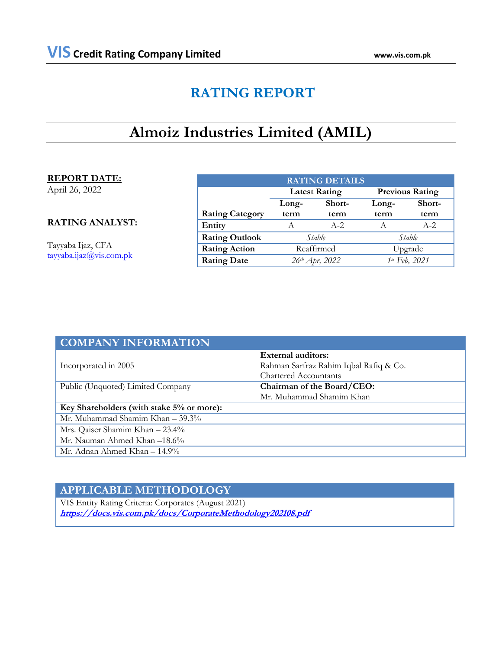# **RATING REPORT**

# **Almoiz Industries Limited (AMIL)**

# **REPORT DATE:**

April 26, 2022

# **RATING ANALYST:**

Tayyaba Ijaz, CFA [tayyaba.ijaz@vis.com.pk](mailto:tayyaba.ijaz@vis.com.pk)

| <b>RATING DETAILS</b>  |                            |                      |                        |        |  |  |
|------------------------|----------------------------|----------------------|------------------------|--------|--|--|
|                        |                            | <b>Latest Rating</b> | <b>Previous Rating</b> |        |  |  |
|                        | Long-                      | Short-               | Long-                  | Short- |  |  |
| <b>Rating Category</b> | term                       | term                 | term                   | term   |  |  |
| Entity                 | A                          | $A-2$                |                        | $A-2$  |  |  |
| <b>Rating Outlook</b>  | Stable                     |                      | Stable                 |        |  |  |
| <b>Rating Action</b>   | Reaffirmed                 |                      | Upgrade                |        |  |  |
| <b>Rating Date</b>     | 26 <sup>th</sup> Apr, 2022 |                      | 1st Feb, 2021          |        |  |  |

| <b>COMPANY INFORMATION</b>                |                                        |
|-------------------------------------------|----------------------------------------|
|                                           | <b>External auditors:</b>              |
| Incorporated in 2005                      | Rahman Sarfraz Rahim Iqbal Rafiq & Co. |
|                                           | Chartered Accountants                  |
| Public (Unquoted) Limited Company         | Chairman of the Board/CEO:             |
|                                           | Mr. Muhammad Shamim Khan               |
| Key Shareholders (with stake 5% or more): |                                        |
| Mr. Muhammad Shamim Khan - 39.3%          |                                        |
| Mrs. Qaiser Shamim Khan - 23.4%           |                                        |
| Mr. Nauman Ahmed Khan -18.6%              |                                        |
| Mr. Adnan Ahmed Khan $-14.9\%$            |                                        |

# **APPLICABLE METHODOLOGY**

VIS Entity Rating Criteria: Corporates (August 2021) **<https://docs.vis.com.pk/docs/CorporateMethodology202108.pdf>**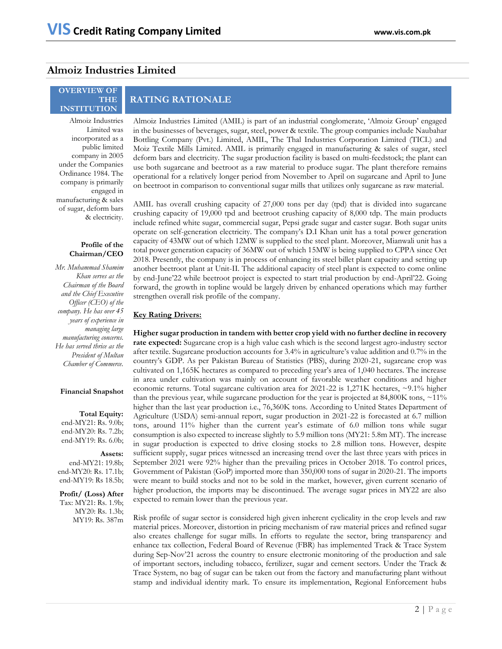# **Almoiz Industries Limited**

# **OVERVIEW OF THE INSTITUTION**

Almoiz Industries Limited was incorporated as a public limited company in 2005 under the Companies Ordinance 1984. The company is primarily engaged in manufacturing & sales of sugar, deform bars & electricity.

# **Profile of the Chairman/CEO**

*Mr. Muhammad Shamim Khan serves as the Chairman of the Board and the Chief Executive Officer (CEO) of the company. He has over 45 years of experience in managing large manufacturing concerns. He has served thrice as the President of Multan Chamber of Commerce.*

## **Financial Snapshot**

**Total Equity:** 

end-MY21: Rs. 9.0b; end-MY20: Rs. 7.2b; end-MY19: Rs. 6.0b;

**Assets:**  end-MY21: 19.8b; end-MY20: Rs. 17.1b; end-MY19: Rs 18.5b;

**Profit/ (Loss) After**  Tax: MY21: Rs. 1.9b; MY20: Rs. 1.3b; MY19: Rs. 387m

# **RATING RATIONALE**

Almoiz Industries Limited (AMIL) is part of an industrial conglomerate, 'Almoiz Group' engaged in the businesses of beverages, sugar, steel, power & textile. The group companies include Naubahar Bottling Company (Pvt.) Limited, AMIL, The Thal Industries Corporation Limited (TICL) and Moiz Textile Mills Limited. AMIL is primarily engaged in manufacturing & sales of sugar, steel deform bars and electricity. The sugar production facility is based on multi-feedstock; the plant can use both sugarcane and beetroot as a raw material to produce sugar. The plant therefore remains operational for a relatively longer period from November to April on sugarcane and April to June on beetroot in comparison to conventional sugar mills that utilizes only sugarcane as raw material.

AMIL has overall crushing capacity of 27,000 tons per day (tpd) that is divided into sugarcane crushing capacity of 19,000 tpd and beetroot crushing capacity of 8,000 tdp. The main products include refined white sugar, commercial sugar, Pepsi grade sugar and caster sugar. Both sugar units operate on self-generation electricity. The company's D.I Khan unit has a total power generation capacity of 43MW out of which 12MW is supplied to the steel plant. Moreover, Mianwali unit has a total power generation capacity of 36MW out of which 15MW is being supplied to CPPA since Oct 2018. Presently, the company is in process of enhancing its steel billet plant capacity and setting up another beetroot plant at Unit-II. The additional capacity of steel plant is expected to come online by end-June'22 while beetroot project is expected to start trial production by end-April'22. Going forward, the growth in topline would be largely driven by enhanced operations which may further strengthen overall risk profile of the company.

# **Key Rating Drivers:**

**Higher sugar production in tandem with better crop yield with no further decline in recovery rate expected:** Sugarcane crop is a high value cash which is the second largest agro-industry sector after textile. Sugarcane production accounts for 3.4% in agriculture's value addition and 0.7% in the country's GDP. As per Pakistan Bureau of Statistics (PBS), during 2020-21, sugarcane crop was cultivated on 1,165K hectares as compared to preceding year's area of 1,040 hectares. The increase in area under cultivation was mainly on account of favorable weather conditions and higher economic returns. Total sugarcane cultivation area for 2021-22 is 1,271K hectares,  $\sim$  9.1% higher than the previous year, while sugarcane production for the year is projected at 84,800K tons,  $\sim$ 11% higher than the last year production i.e., 76,360K tons. According to United States Department of Agriculture (USDA) semi-annual report, sugar production in 2021-22 is forecasted at 6.7 million tons, around 11% higher than the current year's estimate of 6.0 million tons while sugar consumption is also expected to increase slightly to 5.9 million tons (MY21: 5.8m MT). The increase in sugar production is expected to drive closing stocks to 2.8 million tons. However, despite sufficient supply, sugar prices witnessed an increasing trend over the last three years with prices in September 2021 were 92% higher than the prevailing prices in October 2018. To control prices, Government of Pakistan (GoP) imported more than 350,000 tons of sugar in 2020-21. The imports were meant to build stocks and not to be sold in the market, however, given current scenario of higher production, the imports may be discontinued. The average sugar prices in MY22 are also expected to remain lower than the previous year.

Risk profile of sugar sector is considered high given inherent cyclicality in the crop levels and raw material prices. Moreover, distortion in pricing mechanism of raw material prices and refined sugar also creates challenge for sugar mills. In efforts to regulate the sector, bring transparency and enhance tax collection, Federal Board of Revenue (FBR) has implemented Track & Trace System during Sep-Nov'21 across the country to ensure electronic monitoring of the production and sale of important sectors, including tobacco, fertilizer, sugar and cement sectors. Under the Track & Trace System, no bag of sugar can be taken out from the factory and manufacturing plant without stamp and individual identity mark. To ensure its implementation, Regional Enforcement hubs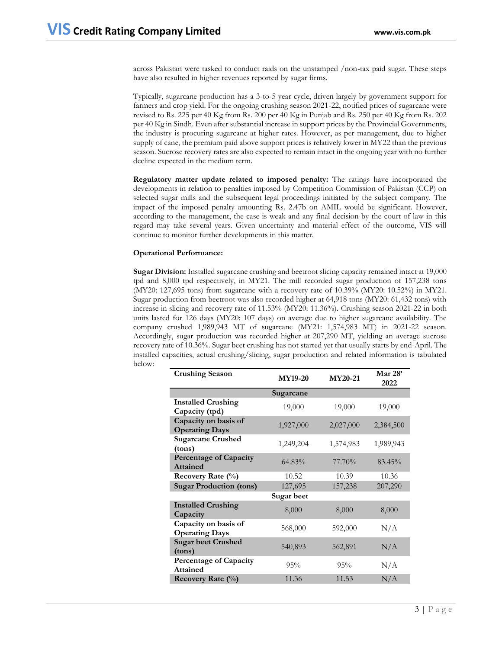across Pakistan were tasked to conduct raids on the unstamped /non-tax paid sugar. These steps have also resulted in higher revenues reported by sugar firms.

Typically, sugarcane production has a 3-to-5 year cycle, driven largely by government support for farmers and crop yield. For the ongoing crushing season 2021-22, notified prices of sugarcane were revised to Rs. 225 per 40 Kg from Rs. 200 per 40 Kg in Punjab and Rs. 250 per 40 Kg from Rs. 202 per 40 Kg in Sindh. Even after substantial increase in support prices by the Provincial Governments, the industry is procuring sugarcane at higher rates. However, as per management, due to higher supply of cane, the premium paid above support prices is relatively lower in MY22 than the previous season. Sucrose recovery rates are also expected to remain intact in the ongoing year with no further decline expected in the medium term.

**Regulatory matter update related to imposed penalty:** The ratings have incorporated the developments in relation to penalties imposed by Competition Commission of Pakistan (CCP) on selected sugar mills and the subsequent legal proceedings initiated by the subject company. The impact of the imposed penalty amounting Rs. 2.47b on AMIL would be significant. However, according to the management, the case is weak and any final decision by the court of law in this regard may take several years. Given uncertainty and material effect of the outcome, VIS will continue to monitor further developments in this matter.

# **Operational Performance:**

**Sugar Division:** Installed sugarcane crushing and beetroot slicing capacity remained intact at 19,000 tpd and 8,000 tpd respectively, in MY21. The mill recorded sugar production of 157,238 tons (MY20: 127,695 tons) from sugarcane with a recovery rate of 10.39% (MY20: 10.52%) in MY21. Sugar production from beetroot was also recorded higher at 64,918 tons (MY20: 61,432 tons) with increase in slicing and recovery rate of 11.53% (MY20: 11.36%). Crushing season 2021-22 in both units lasted for 126 days (MY20: 107 days) on average due to higher sugarcane availability. The company crushed 1,989,943 MT of sugarcane (MY21: 1,574,983 MT) in 2021-22 season. Accordingly, sugar production was recorded higher at 207,290 MT, yielding an average sucrose recovery rate of 10.36%. Sugar beet crushing has not started yet that usually starts by end-April. The installed capacities, actual crushing/slicing, sugar production and related information is tabulated below:

| <b>Crushing Season</b>                           | <b>MY19-20</b> | <b>MY20-21</b> | Mar $28'$<br>2022 |
|--------------------------------------------------|----------------|----------------|-------------------|
|                                                  | Sugarcane      |                |                   |
| <b>Installed Crushing</b><br>Capacity (tpd)      | 19,000         | 19,000         | 19,000            |
| Capacity on basis of<br><b>Operating Days</b>    | 1,927,000      | 2,027,000      | 2,384,500         |
| <b>Sugarcane Crushed</b><br>(tons)               | 1,249,204      | 1,574,983      | 1,989,943         |
| <b>Percentage of Capacity</b><br><b>Attained</b> | $64.83\%$      | 77.70%         | 83.45%            |
| Recovery Rate (%)                                | 10.52          | 10.39          | 10.36             |
| <b>Sugar Production (tons)</b>                   | 127,695        | 157,238        | 207,290           |
|                                                  | Sugar beet     |                |                   |
| <b>Installed Crushing</b><br>Capacity            | 8,000          | 8,000          | 8,000             |
| Capacity on basis of<br><b>Operating Days</b>    | 568,000        | 592,000        | N/A               |
| <b>Sugar beet Crushed</b><br>(tons)              | 540,893        | 562,891        | N/A               |
| <b>Percentage of Capacity</b><br><b>Attained</b> | 95%            | 95%            | N/A               |
| Recovery Rate $(\%)$                             | 11.36          | 11.53          | N/A               |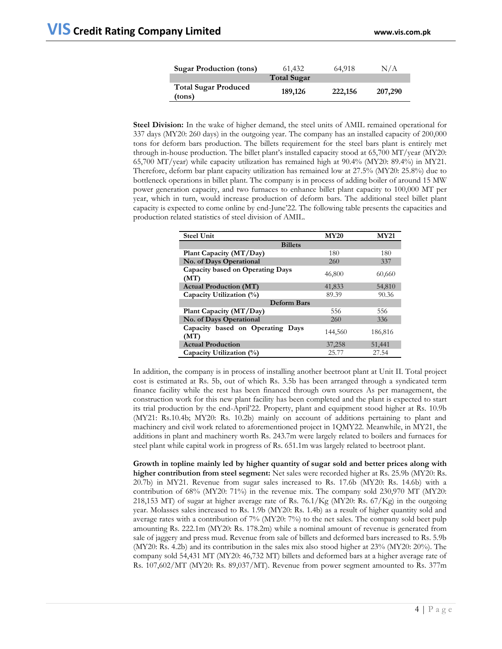| <b>Sugar Production (tons)</b>        | 61.432             | 64,918  | N/A     |
|---------------------------------------|--------------------|---------|---------|
|                                       | <b>Total Sugar</b> |         |         |
| <b>Total Sugar Produced</b><br>(tons) | 189,126            | 222,156 | 207,290 |

**Steel Division:** In the wake of higher demand, the steel units of AMIL remained operational for 337 days (MY20: 260 days) in the outgoing year. The company has an installed capacity of 200,000 tons for deform bars production. The billets requirement for the steel bars plant is entirely met through in-house production. The billet plant's installed capacity stood at 65,700 MT/year (MY20: 65,700 MT/year) while capacity utilization has remained high at 90.4% (MY20: 89.4%) in MY21. Therefore, deform bar plant capacity utilization has remained low at 27.5% (MY20: 25.8%) due to bottleneck operations in billet plant. The company is in process of adding boiler of around 15 MW power generation capacity, and two furnaces to enhance billet plant capacity to 100,000 MT per year, which in turn, would increase production of deform bars. The additional steel billet plant capacity is expected to come online by end-June'22. The following table presents the capacities and production related statistics of steel division of AMIL.

| <b>Steel Unit</b>                        | <b>MY20</b> | <b>MY21</b> |  |  |  |  |
|------------------------------------------|-------------|-------------|--|--|--|--|
| <b>Billets</b>                           |             |             |  |  |  |  |
| Plant Capacity (MT/Day)                  | 180         | 180         |  |  |  |  |
| No. of Days Operational                  | 260         | 337         |  |  |  |  |
| Capacity based on Operating Days<br>(MT) | 46,800      | 60,660      |  |  |  |  |
| <b>Actual Production (MT)</b>            | 41,833      | 54,810      |  |  |  |  |
| Capacity Utilization (%)                 | 89.39       | 90.36       |  |  |  |  |
| <b>Deform Bars</b>                       |             |             |  |  |  |  |
| Plant Capacity (MT/Day)                  | 556         | 556         |  |  |  |  |
| No. of Days Operational                  | 260         | 336         |  |  |  |  |
| Capacity based on Operating Days<br>(MT) | 144,560     | 186,816     |  |  |  |  |
| <b>Actual Production</b>                 | 37,258      | 51,441      |  |  |  |  |
| Capacity Utilization (%)                 | 25.77       | 27.54       |  |  |  |  |

In addition, the company is in process of installing another beetroot plant at Unit II. Total project cost is estimated at Rs. 5b, out of which Rs. 3.5b has been arranged through a syndicated term finance facility while the rest has been financed through own sources As per management, the construction work for this new plant facility has been completed and the plant is expected to start its trial production by the end-April'22. Property, plant and equipment stood higher at Rs. 10.9b (MY21: Rs.10.4b; MY20: Rs. 10.2b) mainly on account of additions pertaining to plant and machinery and civil work related to aforementioned project in 1QMY22. Meanwhile, in MY21, the additions in plant and machinery worth Rs. 243.7m were largely related to boilers and furnaces for steel plant while capital work in progress of Rs. 651.1m was largely related to beetroot plant.

**Growth in topline mainly led by higher quantity of sugar sold and better prices along with higher contribution from steel segment:** Net sales were recorded higher at Rs. 25.9b (MY20: Rs. 20.7b) in MY21. Revenue from sugar sales increased to Rs. 17.6b (MY20: Rs. 14.6b) with a contribution of 68% (MY20: 71%) in the revenue mix. The company sold 230,970 MT (MY20: 218,153 MT) of sugar at higher average rate of Rs.  $76.1/Kg$  (MY20: Rs.  $67/Kg$ ) in the outgoing year. Molasses sales increased to Rs. 1.9b (MY20: Rs. 1.4b) as a result of higher quantity sold and average rates with a contribution of 7% (MY20: 7%) to the net sales. The company sold beet pulp amounting Rs. 222.1m (MY20: Rs. 178.2m) while a nominal amount of revenue is generated from sale of jaggery and press mud. Revenue from sale of billets and deformed bars increased to Rs. 5.9b (MY20: Rs. 4.2b) and its contribution in the sales mix also stood higher at 23% (MY20: 20%). The company sold 54,431 MT (MY20: 46,732 MT) billets and deformed bars at a higher average rate of Rs. 107,602/MT (MY20: Rs. 89,037/MT). Revenue from power segment amounted to Rs. 377m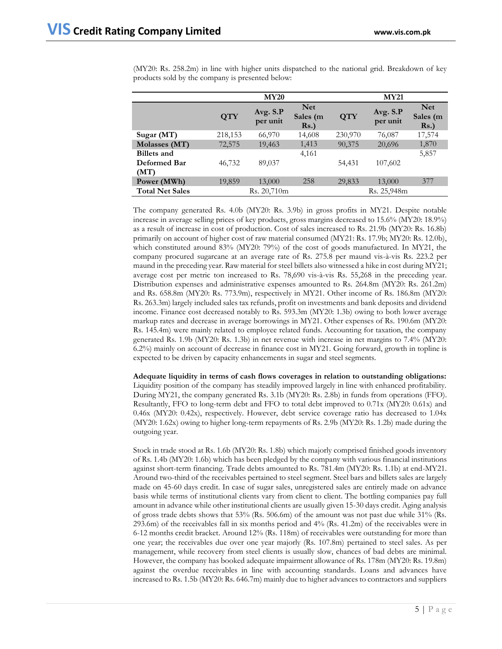|                        | <b>MY20</b> |                      |                                   |            | <b>MY21</b>          |                                   |  |
|------------------------|-------------|----------------------|-----------------------------------|------------|----------------------|-----------------------------------|--|
|                        | <b>QTY</b>  | Avg. S.P<br>per unit | <b>Net</b><br>Sales (m<br>$Rs.$ ) | <b>QTY</b> | Avg. S.P<br>per unit | <b>Net</b><br>Sales (m<br>$Rs.$ ) |  |
| Sugar $(MT)$           | 218,153     | 66,970               | 14,608                            | 230,970    | 76,087               | 17,574                            |  |
| Molasses (MT)          | 72,575      | 19,463               | 1,413                             | 90,375     | 20,696               | 1,870                             |  |
| <b>Billets</b> and     |             |                      | 4,161                             |            |                      | 5,857                             |  |
| <b>Deformed Bar</b>    | 46,732      | 89,037               |                                   | 54,431     | 107,602              |                                   |  |
| (MT)                   |             |                      |                                   |            |                      |                                   |  |
| Power (MWh)            | 19,859      | 13,000               | 258                               | 29,833     | 13,000               | 377                               |  |
| <b>Total Net Sales</b> |             | Rs. 20,710m          |                                   |            | Rs. 25,948m          |                                   |  |

(MY20: Rs. 258.2m) in line with higher units dispatched to the national grid. Breakdown of key products sold by the company is presented below:

The company generated Rs. 4.0b (MY20: Rs. 3.9b) in gross profits in MY21. Despite notable increase in average selling prices of key products, gross margins decreased to 15.6% (MY20: 18.9%) as a result of increase in cost of production. Cost of sales increased to Rs. 21.9b (MY20: Rs. 16.8b) primarily on account of higher cost of raw material consumed (MY21: Rs. 17.9b; MY20: Rs. 12.0b), which constituted around 83% (MY20: 79%) of the cost of goods manufactured. In MY21, the company procured sugarcane at an average rate of Rs. 275.8 per maund vis-à-vis Rs. 223.2 per maund in the preceding year. Raw material for steel billets also witnessed a hike in cost during MY21; average cost per metric ton increased to Rs. 78,690 vis-à-vis Rs. 55,268 in the preceding year. Distribution expenses and administrative expenses amounted to Rs. 264.8m (MY20: Rs. 261.2m) and Rs. 658.8m (MY20: Rs. 773.9m), respectively in MY21. Other income of Rs. 186.8m (MY20: Rs. 263.3m) largely included sales tax refunds, profit on investments and bank deposits and dividend income. Finance cost decreased notably to Rs. 593.3m (MY20: 1.3b) owing to both lower average markup rates and decrease in average borrowings in MY21. Other expenses of Rs. 190.6m (MY20: Rs. 145.4m) were mainly related to employee related funds. Accounting for taxation, the company generated Rs. 1.9b (MY20: Rs. 1.3b) in net revenue with increase in net margins to 7.4% (MY20: 6.2%) mainly on account of decrease in finance cost in MY21. Going forward, growth in topline is expected to be driven by capacity enhancements in sugar and steel segments.

**Adequate liquidity in terms of cash flows coverages in relation to outstanding obligations:**  Liquidity position of the company has steadily improved largely in line with enhanced profitability. During MY21, the company generated Rs. 3.1b (MY20: Rs. 2.8b) in funds from operations (FFO). Resultantly, FFO to long-term debt and FFO to total debt improved to 0.71x (MY20: 0.61x) and 0.46x (MY20: 0.42x), respectively. However, debt service coverage ratio has decreased to 1.04x (MY20: 1.62x) owing to higher long-term repayments of Rs. 2.9b (MY20: Rs. 1.2b) made during the outgoing year.

Stock in trade stood at Rs. 1.6b (MY20: Rs. 1.8b) which majorly comprised finished goods inventory of Rs. 1.4b (MY20: 1.6b) which has been pledged by the company with various financial institutions against short-term financing. Trade debts amounted to Rs. 781.4m (MY20: Rs. 1.1b) at end-MY21. Around two-third of the receivables pertained to steel segment. Steel bars and billets sales are largely made on 45-60 days credit. In case of sugar sales, unregistered sales are entirely made on advance basis while terms of institutional clients vary from client to client. The bottling companies pay full amount in advance while other institutional clients are usually given 15-30 days credit. Aging analysis of gross trade debts shows that 53% (Rs. 506.6m) of the amount was not past due while 31% (Rs. 293.6m) of the receivables fall in six months period and 4% (Rs. 41.2m) of the receivables were in 6-12 months credit bracket. Around 12% (Rs. 118m) of receivables were outstanding for more than one year; the receivables due over one year majorly (Rs. 107.8m) pertained to steel sales. As per management, while recovery from steel clients is usually slow, chances of bad debts are minimal. However, the company has booked adequate impairment allowance of Rs. 178m (MY20: Rs. 19.8m) against the overdue receivables in line with accounting standards. Loans and advances have increased to Rs. 1.5b (MY20: Rs. 646.7m) mainly due to higher advances to contractors and suppliers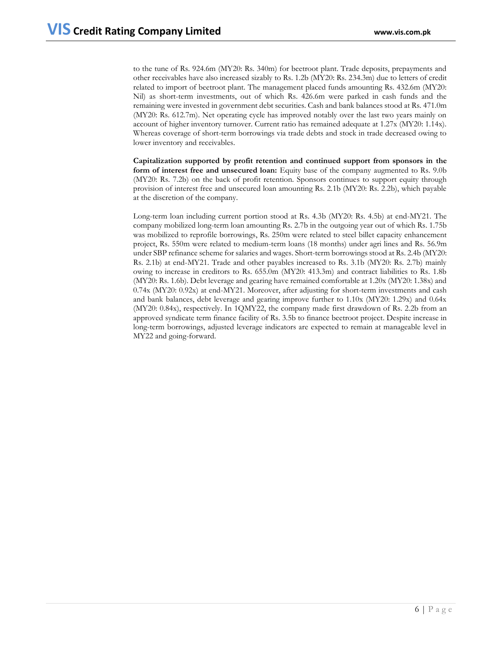to the tune of Rs. 924.6m (MY20: Rs. 340m) for beetroot plant. Trade deposits, prepayments and other receivables have also increased sizably to Rs. 1.2b (MY20: Rs. 234.3m) due to letters of credit related to import of beetroot plant. The management placed funds amounting Rs. 432.6m (MY20: Nil) as short-term investments, out of which Rs. 426.6m were parked in cash funds and the remaining were invested in government debt securities. Cash and bank balances stood at Rs. 471.0m (MY20: Rs. 612.7m). Net operating cycle has improved notably over the last two years mainly on account of higher inventory turnover. Current ratio has remained adequate at 1.27x (MY20: 1.14x). Whereas coverage of short-term borrowings via trade debts and stock in trade decreased owing to lower inventory and receivables.

**Capitalization supported by profit retention and continued support from sponsors in the form of interest free and unsecured loan:** Equity base of the company augmented to Rs. 9.0b (MY20: Rs. 7.2b) on the back of profit retention. Sponsors continues to support equity through provision of interest free and unsecured loan amounting Rs. 2.1b (MY20: Rs. 2.2b), which payable at the discretion of the company.

Long-term loan including current portion stood at Rs. 4.3b (MY20: Rs. 4.5b) at end-MY21. The company mobilized long-term loan amounting Rs. 2.7b in the outgoing year out of which Rs. 1.75b was mobilized to reprofile borrowings, Rs. 250m were related to steel billet capacity enhancement project, Rs. 550m were related to medium-term loans (18 months) under agri lines and Rs. 56.9m under SBP refinance scheme for salaries and wages. Short-term borrowings stood at Rs. 2.4b (MY20: Rs. 2.1b) at end-MY21. Trade and other payables increased to Rs. 3.1b (MY20: Rs. 2.7b) mainly owing to increase in creditors to Rs. 655.0m (MY20: 413.3m) and contract liabilities to Rs. 1.8b (MY20: Rs. 1.6b). Debt leverage and gearing have remained comfortable at 1.20x (MY20: 1.38x) and 0.74x (MY20: 0.92x) at end-MY21. Moreover, after adjusting for short-term investments and cash and bank balances, debt leverage and gearing improve further to 1.10x (MY20: 1.29x) and 0.64x (MY20: 0.84x), respectively. In 1QMY22, the company made first drawdown of Rs. 2.2b from an approved syndicate term finance facility of Rs. 3.5b to finance beetroot project. Despite increase in long-term borrowings, adjusted leverage indicators are expected to remain at manageable level in MY22 and going-forward.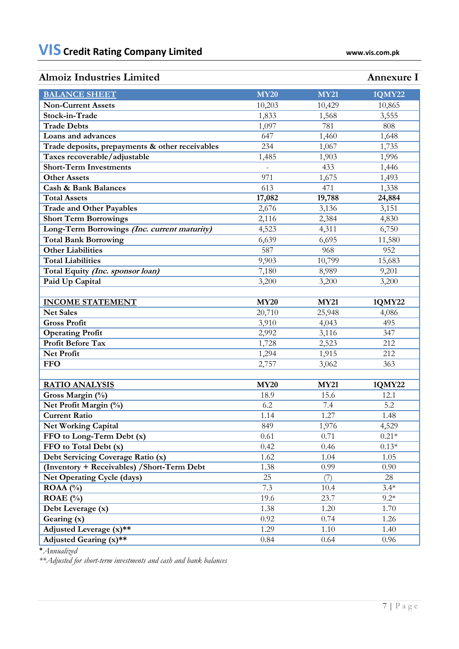# **Almoiz Industries Limited Annexure I**

| <b>BALANCE SHEET</b>                            | <b>MY20</b>         | <b>MY21</b> | <b>1QMY22</b> |
|-------------------------------------------------|---------------------|-------------|---------------|
| <b>Non-Current Assets</b>                       | 10,203              | 10,429      | 10,865        |
| Stock-in-Trade                                  | 1,833               | 1,568       | 3,555         |
| <b>Trade Debts</b>                              | 1,097               | 781         | 808           |
| Loans and advances                              | 647                 | 1,460       | 1,648         |
| Trade deposits, prepayments & other receivables | 234                 | 1,067       | 1,735         |
| Taxes recoverable/adjustable                    | 1,485               | 1,903       | 1,996         |
| <b>Short-Term Investments</b>                   | $\bar{\phantom{a}}$ | 433         | 1,446         |
| <b>Other Assets</b>                             | 971                 | 1,675       | 1,493         |
| <b>Cash &amp; Bank Balances</b>                 | 613                 | 471         | 1,338         |
| <b>Total Assets</b>                             | 17,082              | 19,788      | 24,884        |
| <b>Trade and Other Payables</b>                 | 2,676               | 3,136       | 3,151         |
| <b>Short Term Borrowings</b>                    | 2,116               | 2,384       | 4,830         |
| Long-Term Borrowings (Inc. current maturity)    | 4,523               | 4,311       | 6,750         |
| <b>Total Bank Borrowing</b>                     | 6,639               | 6,695       | 11,580        |
| <b>Other Liabilities</b>                        | 587                 | 968         | 952           |
| <b>Total Liabilities</b>                        | 9,903               | 10,799      | 15,683        |
| Total Equity (Inc. sponsor loan)                | 7,180               | 8,989       | 9,201         |
| Paid Up Capital                                 | 3,200               | 3,200       | 3,200         |
|                                                 |                     |             |               |
| <b>INCOME STATEMENT</b>                         | <b>MY20</b>         | <b>MY21</b> | <b>1QMY22</b> |
| <b>Net Sales</b>                                | 20,710              | 25,948      | 4,086         |
| <b>Gross Profit</b>                             | 3,910               | 4,043       | 495           |
| <b>Operating Profit</b>                         | 2,992               | 3,116       | 347           |
| <b>Profit Before Tax</b>                        | 1,728               | 2,523       | 212           |
| Net Profit                                      | 1,294               | 1,915       | 212           |
| <b>FFO</b>                                      | 2,757               | 3,062       | 363           |
|                                                 |                     |             |               |
| <b>RATIO ANALYSIS</b>                           | <b>MY20</b>         | <b>MY21</b> | 1QMY22        |
| Gross Margin (%)                                | 18.9                | 15.6        | 12.1          |
| Net Profit Margin (%)                           | 6.2                 | 7.4         | 5.2           |
| <b>Current Ratio</b>                            | 1.14                | 1.27        | 1.48          |
| <b>Net Working Capital</b>                      | 849                 | 1,976       | 4,529         |
| FFO to Long-Term Debt (x)                       | 0.61                | 0.71        | $0.21*$       |
| FFO to Total Debt (x)                           | 0.42                | 0.46        | $0.13*$       |
| Debt Servicing Coverage Ratio (x)               | 1.62                | 1.04        | 1.05          |
| (Inventory + Receivables) / Short-Term Debt     | 1.38                | 0.99        | 0.90          |
| <b>Net Operating Cycle (days)</b>               | 25                  | (7)         | 28            |
| $ROAA(^{0}_{0})$                                | 7.3                 | 10.4        | $3.4*$        |
| ROAE $(\% )$                                    | 19.6                | 23.7        | $9.2*$        |
| Debt Leverage (x)                               | 1.38                | 1.20        | 1.70          |
| Gearing (x)                                     | 0.92                | 0.74        | 1.26          |
| Adjusted Leverage (x)**                         | 1.29                | 1.10        | 1.40          |
| Adjusted Gearing (x)**                          | 0.84                | 0.64        | 0.96          |

\**Annualized*

*\*\*Adjusted for short-term investments and cash and bank balances*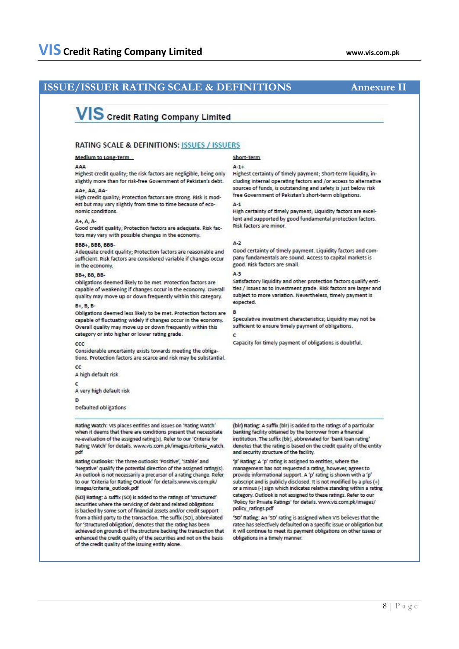# **ISSUE/ISSUER RATING SCALE & DEFINITIONS Annexure II**

# **VIS** Credit Rating Company Limited

# **RATING SCALE & DEFINITIONS: ISSUES / ISSUERS**

## Medium to Long-Term

#### 444

Highest credit quality; the risk factors are negligible, being only slightly more than for risk-free Government of Pakistan's debt.

# AA+, AA, AA

High credit quality; Protection factors are strong. Risk is modest but may vary slightly from time to time because of economic conditions

### A+, A, A-

Good credit quality: Protection factors are adequate. Risk factors may vary with possible changes in the economy.

### BBB+, BBB, BBB-

Adequate credit quality: Protection factors are reasonable and sufficient. Risk factors are considered variable if changes occur in the economy.

### **BB+, BB, BB**

Obligations deemed likely to be met. Protection factors are capable of weakening if changes occur in the economy. Overall quality may move up or down frequently within this category.

#### **B+, B, B**

Obligations deemed less likely to be met. Protection factors are capable of fluctuating widely if changes occur in the economy. Overall quality may move up or down frequently within this category or into higher or lower rating grade.

#### $_{\rm ccc}$

Considerable uncertainty exists towards meeting the obligations. Protection factors are scarce and risk may be substantial.

 $\alpha$ 

A high default risk

A very high default risk

## D

Defaulted obligations

Rating Watch: VIS places entities and issues on 'Rating Watch' when it deems that there are conditions present that necessitate re-evaluation of the assigned rating(s). Refer to our 'Criteria for Rating Watch' for details. www.vis.com.pk/images/criteria\_watch. pdf

Rating Outlooks: The three outlooks 'Positive', 'Stable' and 'Negative' qualify the potential direction of the assigned rating(s). An outlook is not necessarily a precursor of a rating change. Refer to our 'Criteria for Rating Outlook' for details.www.vis.com.pk/ images/criteria\_outlook.pdf

(SO) Rating: A suffix (SO) is added to the ratings of 'structured' securities where the servicing of debt and related obligations is backed by some sort of financial assets and/or credit support from a third party to the transaction. The suffix (SO), abbreviated for 'structured obligation', denotes that the rating has been achieved on grounds of the structure backing the transaction that enhanced the credit quality of the securities and not on the basis of the credit quality of the issuing entity alone.

### Short-Term

#### $4 - 1 +$

Highest certainty of timely payment; Short-term liquidity, including internal operating factors and /or access to alternative sources of funds, is outstanding and safety is just below risk free Government of Pakistan's short-term obligations.

## $A - 1$

High certainty of timely payment; Liquidity factors are excellent and supported by good fundamental protection factors. Risk factors are minor.

#### $A-2$

Good certainty of timely payment. Liquidity factors and company fundamentals are sound. Access to capital markets is good. Risk factors are small.

### $\Delta - 3$

Satisfactory liquidity and other protection factors qualify entities / issues as to investment grade. Risk factors are larger and subject to more variation. Nevertheless, timely payment is expected.

#### $\overline{B}$

Speculative investment characteristics: Liquidity may not be sufficient to ensure timely payment of obligations.

## $\epsilon$

Capacity for timely payment of obligations is doubtful.

(bir) Rating: A suffix (bir) is added to the ratings of a particular banking facility obtained by the borrower from a financial institution. The suffix (blr), abbreviated for 'bank loan rating' denotes that the rating is based on the credit quality of the entity and security structure of the facility.

'p' Rating: A 'p' rating is assigned to entities, where the management has not requested a rating, however, agrees to provide informational support. A 'p' rating is shown with a 'p' subscript and is publicly disclosed. It is not modified by a plus (+) or a minus (-) sign which indicates relative standing within a rating category. Outlook is not assigned to these ratings. Refer to our 'Policy for Private Ratings' for details. www.vis.com.pk/images/ policy\_ratings.pdf

'SD' Rating: An 'SD' rating is assigned when VIS believes that the ratee has selectively defaulted on a specific issue or obligation but<br>it will continue to meet its payment obligations on other issues or obligations in a timely manner.